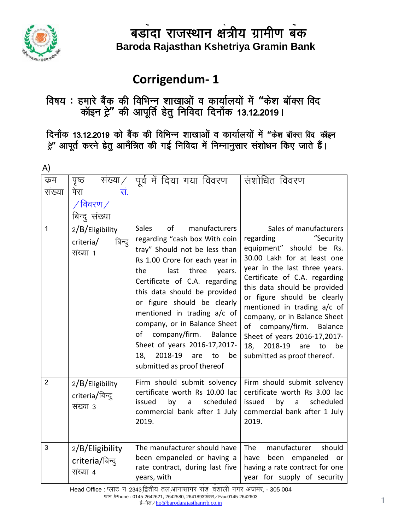

#### **corrigendum-1** S

## **विषय : हमारे बैंक की विभिन्नू शाखाओं व कार्यालयों में "केश बॉक्स विद** .<br>कॉइन ट्रे" की आपूर्ति हेतु निविदा दिनॉंक 13.12.2019 I

<u>दिनाँक 13.12.2019 को बैंक की विभिन्न शाखाओं व कार्यालयों में "केश बॉक्स विद कॉइन</u> हे'' आपूर्त करने हेतु आमँत्रित की गई निविदा में निम्नानुसार संशोधन किए जाते हैं।

| A)             |                                                                       |                                                                                                                                                                                                                                                                                                                                                                                                                                                                               |                                                                                                                                                                                                                                                                                                                                                                                                                                                   |
|----------------|-----------------------------------------------------------------------|-------------------------------------------------------------------------------------------------------------------------------------------------------------------------------------------------------------------------------------------------------------------------------------------------------------------------------------------------------------------------------------------------------------------------------------------------------------------------------|---------------------------------------------------------------------------------------------------------------------------------------------------------------------------------------------------------------------------------------------------------------------------------------------------------------------------------------------------------------------------------------------------------------------------------------------------|
| क्रम<br>संख्या | पृष्ठ<br>संख्या $/$<br>पेरा<br>सं.<br>विवरण $\angle$<br>बिन्द् संख्या | पूर्व में दिया गया विवरण                                                                                                                                                                                                                                                                                                                                                                                                                                                      | संशोधित विवरण                                                                                                                                                                                                                                                                                                                                                                                                                                     |
| $\mathbf{1}$   | 2/B/Eligibility<br>बिन्दु<br>criteria/<br>संख्या 1                    | <b>Sales</b><br>of<br>manufacturers<br>regarding "cash box With coin<br>tray" Should not be less than<br>Rs 1.00 Crore for each year in<br>the<br>last<br>three<br>years.<br>Certificate of C.A. regarding<br>this data should be provided<br>or figure should be clearly<br>mentioned in trading a/c of<br>company, or in Balance Sheet<br>company/firm.<br>Balance<br>of<br>Sheet of years 2016-17,2017-<br>2018-19<br>18,<br>be<br>are<br>to<br>submitted as proof thereof | Sales of manufacturers<br>"Security<br>regarding<br>equipment" should be Rs.<br>30.00 Lakh for at least one<br>year in the last three years.<br>Certificate of C.A. regarding<br>this data should be provided<br>or figure should be clearly<br>mentioned in trading a/c of<br>company, or in Balance Sheet<br>of<br>company/firm.<br>Balance<br>Sheet of years 2016-17,2017-<br>2018-19<br>18,<br>be<br>are<br>to<br>submitted as proof thereof. |
| 2              | $2/B/E$ ligibility<br>criteria/बिन्दू<br>संख्या 3                     | Firm should submit solvency<br>certificate worth Rs 10.00 lac<br>scheduled<br>issued<br>by<br>a<br>commercial bank after 1 July<br>2019.                                                                                                                                                                                                                                                                                                                                      | Firm should submit solvency<br>certificate worth Rs 3.00 lac<br>scheduled<br>issued<br>by<br>a<br>commercial bank after 1 July<br>2019.                                                                                                                                                                                                                                                                                                           |
| 3              | $2/B/E$ ligibility<br>criteria/बिन्दु<br>संख्या 4                     | The manufacturer should have<br>been empaneled or having a<br>rate contract, during last five<br>years, with                                                                                                                                                                                                                                                                                                                                                                  | manufacturer<br><b>The</b><br>should<br>have<br>been empaneled or<br>having a rate contract for one<br>year for supply of security                                                                                                                                                                                                                                                                                                                |

.<br>Head Office : प्लाट न 2343 द्वितीय तल आनासागर राड ़वंशाली नगर अजमर, - 305 004 S फोन /Phone : 0145-2642621, 2642580, 2641893फेक्स ∕ Fax:0145-2642603 s +3-2642621, 2642560, 26416934441/ Fax:0145-2642603<br>ई—मेल / <u>[h](mailto:ho@barodarajasthanrrb.co.in)o@barodarajasthanrrb.co.in</u> 1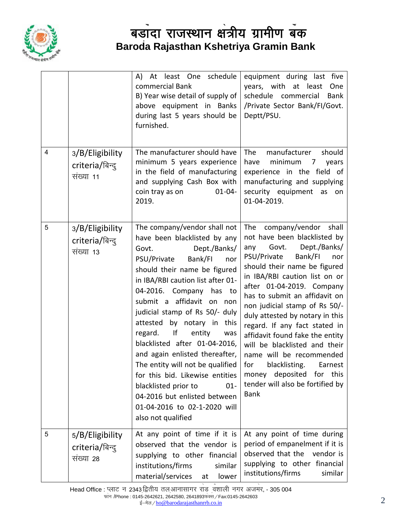

|                |                                                 | least One schedule<br>A) At<br>commercial Bank<br>B) Year wise detail of supply of<br>above equipment in Banks<br>during last 5 years should be<br>furnished.                                                                                                                                                                                                                                                                                                                                                                                                                                                        | equipment during last five<br>years, with at least<br>One<br>schedule commercial<br><b>Bank</b><br>/Private Sector Bank/FI/Govt.<br>Deptt/PSU.                                                                                                                                                                                                                                                                                                                                                                                                                                     |
|----------------|-------------------------------------------------|----------------------------------------------------------------------------------------------------------------------------------------------------------------------------------------------------------------------------------------------------------------------------------------------------------------------------------------------------------------------------------------------------------------------------------------------------------------------------------------------------------------------------------------------------------------------------------------------------------------------|------------------------------------------------------------------------------------------------------------------------------------------------------------------------------------------------------------------------------------------------------------------------------------------------------------------------------------------------------------------------------------------------------------------------------------------------------------------------------------------------------------------------------------------------------------------------------------|
| $\overline{4}$ | 3/B/Eligibility<br>criteria/बिन्दु<br>संख्या 11 | The manufacturer should have<br>minimum 5 years experience<br>in the field of manufacturing<br>and supplying Cash Box with<br>coin tray as on<br>$01 - 04 -$<br>2019.                                                                                                                                                                                                                                                                                                                                                                                                                                                | The<br>manufacturer<br>should<br>minimum<br>have<br>7<br>years<br>experience in the field of<br>manufacturing and supplying<br>security equipment as<br>on<br>01-04-2019.                                                                                                                                                                                                                                                                                                                                                                                                          |
| 5              | 3/B/Eligibility<br>criteria/बिन्द्<br>संख्या 13 | The company/vendor shall not<br>have been blacklisted by any<br>Dept./Banks/<br>Govt.<br>Bank/FI<br>PSU/Private<br>nor<br>should their name be figured<br>in IBA/RBI caution list after 01-<br>04-2016. Company has to<br>submit a affidavit on non<br>judicial stamp of Rs 50/- duly<br>attested by notary in this<br>regard. If<br>entity<br>was<br>blacklisted after 01-04-2016,<br>and again enlisted thereafter,<br>The entity will not be qualified<br>for this bid. Likewise entities<br>blacklisted prior to<br>$01 -$<br>04-2016 but enlisted between<br>01-04-2016 to 02-1-2020 will<br>also not qualified | The<br>company/vendor shall<br>not have been blacklisted by<br>Dept./Banks/<br>Govt.<br>any<br>PSU/Private<br>Bank/FI<br>nor<br>should their name be figured<br>in IBA/RBI caution list on or<br>after 01-04-2019. Company<br>has to submit an affidavit on<br>non judicial stamp of Rs 50/-<br>duly attested by notary in this<br>regard. If any fact stated in<br>affidavit found fake the entity<br>will be blacklisted and their<br>name will be recommended<br>for<br>blacklisting.<br>Earnest<br>money deposited for this<br>tender will also be fortified by<br><b>Bank</b> |
| 5              | 5/B/Eligibility<br>criteria/बिन्दु<br>संख्या 28 | At any point of time if it is<br>observed that the vendor is<br>supplying to other financial<br>institutions/firms<br>similar<br>material/services<br>lower<br>at                                                                                                                                                                                                                                                                                                                                                                                                                                                    | At any point of time during<br>period of empanelment if it is<br>observed that the<br>vendor is<br>supplying to other financial<br>institutions/firms<br>similar                                                                                                                                                                                                                                                                                                                                                                                                                   |

.<br>Head Office : प्लाट न 2343 द्वितीय तल आनासागर राड <sub>,</sub>वंशाली नगर अजमर, - 305 004 S फोन /Phone : 0145-2642621, 2642580, 2641893फेक्स ∕ Fax:0145-2642603 s +3-2042021, 2042000, 2041093भक्त / Fax.0145-2042003<br>ई—मेल / <u>[h](mailto:ho@barodarajasthanrrb.co.in)o@barodarajasthanrrb.co.in</u> 2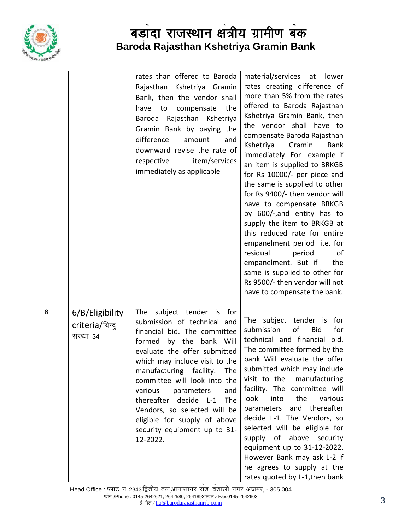

|   |                                                 | rates than offered to Baroda<br>Rajasthan Kshetriya Gramin<br>Bank, then the vendor shall<br>have to compensate the<br>Baroda Rajasthan Kshetriya<br>Gramin Bank by paying the<br>difference<br>amount<br>and<br>downward revise the rate of<br>respective<br>item/services<br>immediately as applicable                                                                                                                            | material/services at lower<br>rates creating difference of<br>more than 5% from the rates<br>offered to Baroda Rajasthan<br>Kshetriya Gramin Bank, then<br>the vendor shall have to<br>compensate Baroda Rajasthan<br>Kshetriya Gramin<br><b>Bank</b><br>immediately. For example if<br>an item is supplied to BRKGB<br>for Rs 10000/- per piece and<br>the same is supplied to other<br>for Rs 9400/- then vendor will<br>have to compensate BRKGB<br>by 600/-,and entity has to<br>supply the item to BRKGB at<br>this reduced rate for entire<br>empanelment period i.e. for<br>residual<br>period<br>of<br>empanelment. But if<br>the<br>same is supplied to other for<br>Rs 9500/- then vendor will not<br>have to compensate the bank. |
|---|-------------------------------------------------|-------------------------------------------------------------------------------------------------------------------------------------------------------------------------------------------------------------------------------------------------------------------------------------------------------------------------------------------------------------------------------------------------------------------------------------|----------------------------------------------------------------------------------------------------------------------------------------------------------------------------------------------------------------------------------------------------------------------------------------------------------------------------------------------------------------------------------------------------------------------------------------------------------------------------------------------------------------------------------------------------------------------------------------------------------------------------------------------------------------------------------------------------------------------------------------------|
| 6 | 6/B/Eligibility<br>criteria/बिन्दु<br>संख्या 34 | The subject tender is for<br>submission of technical and<br>financial bid. The committee<br>formed by the<br>bank Will<br>evaluate the offer submitted<br>which may include visit to the<br>manufacturing facility. The<br>committee will look into the<br>various<br>and<br>parameters<br>thereafter decide L-1<br>The<br>Vendors, so selected will be<br>eligible for supply of above<br>security equipment up to 31-<br>12-2022. | The subject tender is for<br>of<br>for<br>submission<br><b>Bid</b><br>technical and financial<br>bid.<br>The committee formed by the<br>bank Will evaluate the offer<br>submitted which may include<br>visit to the manufacturing<br>facility. The committee will<br>look<br>into<br>the<br>various<br>and thereafter<br>parameters<br>decide L-1. The Vendors, so<br>selected will be eligible for<br>supply of above security<br>equipment up to 31-12-2022.<br>However Bank may ask L-2 if<br>he agrees to supply at the<br>rates quoted by L-1, then bank                                                                                                                                                                                |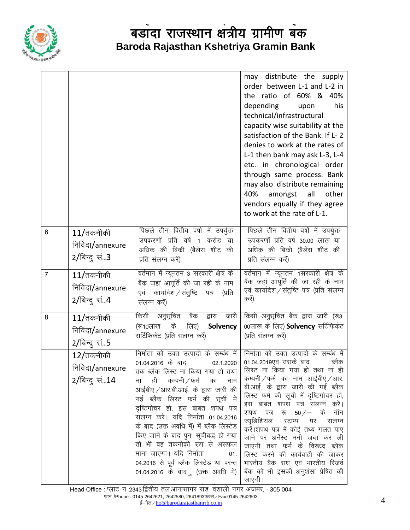

|                |                                                                  |                                                                                                                                                                                                                                                                                                                                                                                                                                                                                                                                                     | may distribute the supply<br>order between L-1 and L-2 in<br>the ratio of 60% & 40%<br>depending<br>his<br>upon<br>technical/infrastructural<br>capacity wise suitability at the<br>satisfaction of the Bank. If L-2<br>denies to work at the rates of<br>L-1 then bank may ask L-3, L-4<br>etc. in chronological order<br>through same process. Bank<br>may also distribute remaining<br>40%<br>amongst all<br>other<br>vendors equally if they agree<br>to work at the rate of L-1.                                                                               |
|----------------|------------------------------------------------------------------|-----------------------------------------------------------------------------------------------------------------------------------------------------------------------------------------------------------------------------------------------------------------------------------------------------------------------------------------------------------------------------------------------------------------------------------------------------------------------------------------------------------------------------------------------------|---------------------------------------------------------------------------------------------------------------------------------------------------------------------------------------------------------------------------------------------------------------------------------------------------------------------------------------------------------------------------------------------------------------------------------------------------------------------------------------------------------------------------------------------------------------------|
| 6              | $11/$ तकनीकी<br>निविदा/annexure<br>$2/\sqrt{9}$ न्दु सं3         | पिछले तीन वितीय वर्षो में उपर्युक्त<br>उपकरणों प्रति वर्ष 1 करोड या<br>अधिक की बिक्री (बैलेंस शीट की<br>प्रति संलग्न करें)                                                                                                                                                                                                                                                                                                                                                                                                                          | पिछले तीन वितीय वर्षो में उपर्युक्त<br>उपकरणों प्रति वर्ष 30.00 लाख या<br>अधिक की बिक्री (बैलेंस शीट की<br>प्रति संलग्न करें)                                                                                                                                                                                                                                                                                                                                                                                                                                       |
| $\overline{7}$ | $11/\text{d}$ तकनीकी<br>निविदा/annexure<br>$2/\sqrt{9}$ न्दु सं4 | वर्तमान में न्यूनतम 3 सरकारी क्षेत्र के<br>बैंक जहां आपूर्ति की जा रही के नाम<br>कार्यादेश / संतुष्टि पत्र<br>(प्रति<br>एवं<br>संलग्न करें)                                                                                                                                                                                                                                                                                                                                                                                                         | वर्तमान में न्यूनतम 1सरकारी क्षेत्र के<br>बैंक जहां आपूर्ति की जा रही के नाम<br>एवं कार्यादेश/संतुष्टि पत्र (प्रति संलग्न<br>करें)                                                                                                                                                                                                                                                                                                                                                                                                                                  |
| 8              | $11/$ तकनीकी<br>निविदा/annexure<br>2/बिन्दु सं5                  | किसी अनुसूचित बैंक द्वारा जारी<br>के<br>लिए)<br>(रू10लाख<br>Solvency<br>सर्टिफिकेट (प्रति संलग्न करें)                                                                                                                                                                                                                                                                                                                                                                                                                                              | किसी अनुसूचित बैंक द्वारा जारी (रू3.<br>00लाख के लिए) Solvency सर्टिफिकेट<br>(प्रति संलग्न करें)                                                                                                                                                                                                                                                                                                                                                                                                                                                                    |
|                | 12/तकनीकी<br>निविदा/annexure<br>2/बिन्दु सं14                    | निर्माता को उक्त उत्पादो के सम्बंध में  <br>01.04.2016 के बाद<br>02.1.2020<br>तक ब्लैक लिस्ट ना किया गया हो तथा  <br>ही कम्पनी ⁄ फर्म<br>का<br>ना<br>नाम<br>आईबीए / आर.बी.आई. के द्वारा जारी की<br>गई ब्लैक लिस्ट फर्म की सूची में<br>दृष्टिगोचर हो, इस बाबत शपथ पत्र<br>सलग्न करें। यदि निर्माता 01.04.2016<br>के बाद (उक्त अवधि में) में ब्लैक लिस्टेड<br>किए जाने के बाद पुनः सूचीबद्ध हो गया<br>तो भी वह तकनीकी रूप से असफल<br>माना जाएगा। यदि निर्माता<br>01.<br>04.2016 से पूर्व ब्लैक लिस्टेड था परन्त<br>01.04.2016 के बादु (उक्त अवधि में) | निर्माता को उक्त उत्पादो के सम्बंध में<br>01.04.2019एवं उसके बाद<br>ब्लैक<br>लिस्ट ना किया गया हो तथा ना ही<br>कम्पनी / फर्म का नाम आईबीए / आर.<br>बी.आई. के द्वारा जारी की गई ब्लैक<br>लिस्ट फर्म की सूची में दृष्टिगोचर हो,<br>इस बाबत शपथ पत्र संलग्न करें।<br>शपथ पत्र रू $50/-$ के नॉन<br>ज्यूडिशियल स्टाम्प पर<br>संलग्न<br>करें।शपथ पत्र में कोई तथ्य गलत पाए<br>जाने पर अर्नेस्ट मनी जब्त कर ली<br>जाएगी तथा फर्म के विरूध्द ब्लेक<br>लिस्ट करने की कार्यवाही की जाकर<br>भारतीय बैंक संघ एवं भारतीय रिजर्व<br>बैंक को भी इसकी अनुशंसा प्रेषित की<br>जाएगी । |